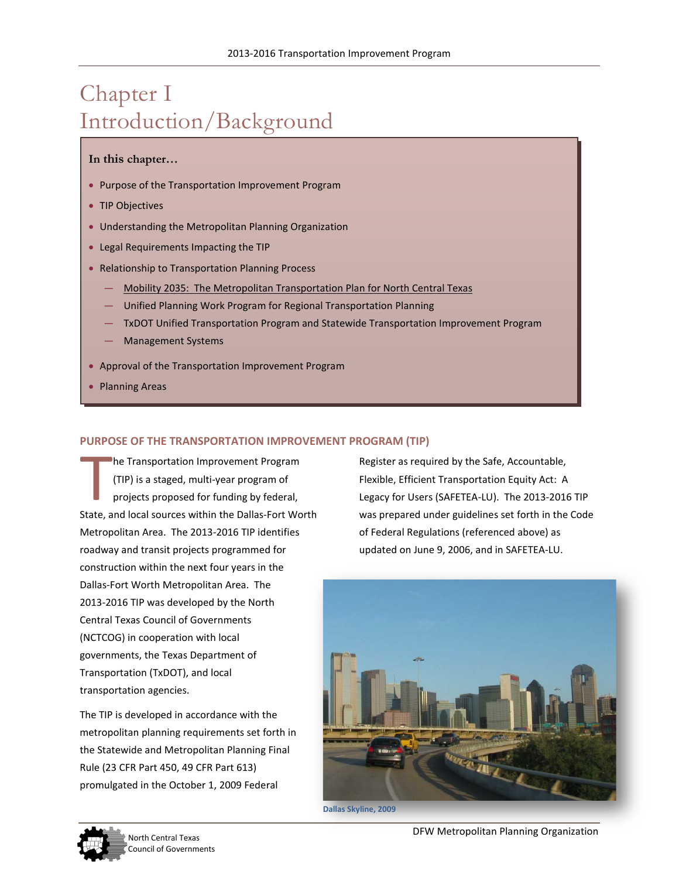# Chapter I Introduction/Background

#### **In this chapter…**

- Purpose of the Transportation Improvement Program
- TIP Objectives
- Understanding the Metropolitan Planning Organization
- Legal Requirements Impacting the TIP
- Relationship to Transportation Planning Process
	- Mobility 2035: The Metropolitan Transportation Plan for North Central Texas
	- Unified Planning Work Program for Regional Transportation Planning
	- TxDOT Unified Transportation Program and Statewide Transportation Improvement Program
	- Management Systems
- Approval of the Transportation Improvement Program
- Planning Areas

#### **PURPOSE OF THE TRANSPORTATION IMPROVEMENT PROGRAM (TIP)**

he Transportation Improvement Program (TIP) is a staged, multi-year program of projects proposed for funding by federal, State, and local sources within the Dallas-Fort Worth Metropolitan Area. The 2013-2016 TIP identifies roadway and transit projects programmed for construction within the next four years in the Dallas-Fort Worth Metropolitan Area. The 2013-2016 TIP was developed by the North Central Texas Council of Governments (NCTCOG) in cooperation with local governments, the Texas Department of Transportation (TxDOT), and local transportation agencies. T<br>T

The TIP is developed in accordance with the metropolitan planning requirements set forth in the Statewide and Metropolitan Planning Final Rule (23 CFR Part 450, 49 CFR Part 613) promulgated in the October 1, 2009 Federal

Register as required by the Safe, Accountable, Flexible, Efficient Transportation Equity Act: A Legacy for Users (SAFETEA-LU). The 2013-2016 TIP was prepared under guidelines set forth in the Code of Federal Regulations (referenced above) as updated on June 9, 2006, and in SAFETEA-LU.





North Central Texas **North Central Texas**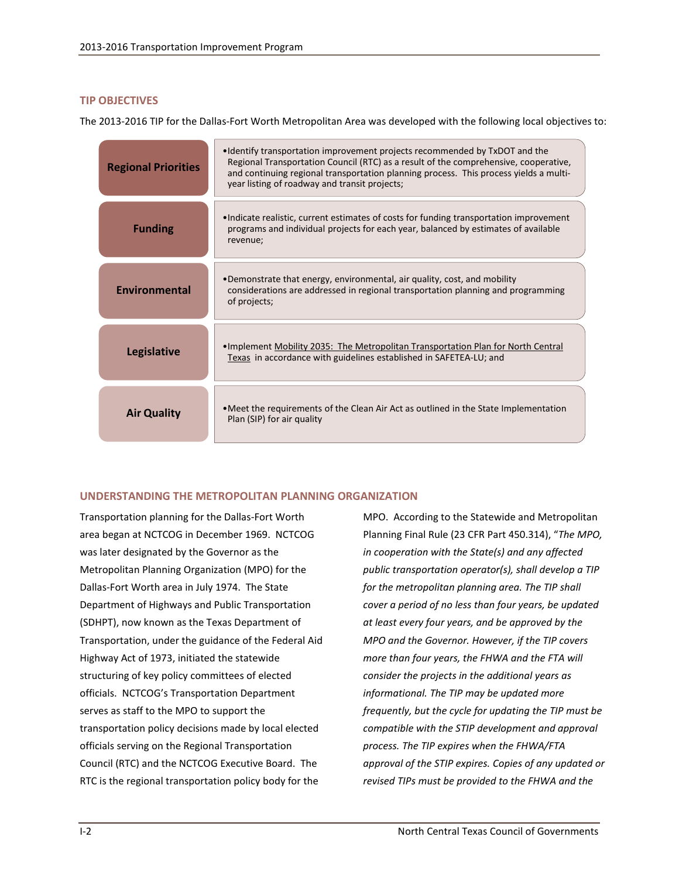#### **TIP OBJECTIVES**

The 2013-2016 TIP for the Dallas-Fort Worth Metropolitan Area was developed with the following local objectives to:

| <b>Regional Priorities</b> | •Identify transportation improvement projects recommended by TxDOT and the<br>Regional Transportation Council (RTC) as a result of the comprehensive, cooperative,<br>and continuing regional transportation planning process. This process yields a multi-<br>year listing of roadway and transit projects; |
|----------------------------|--------------------------------------------------------------------------------------------------------------------------------------------------------------------------------------------------------------------------------------------------------------------------------------------------------------|
| <b>Funding</b>             | •Indicate realistic, current estimates of costs for funding transportation improvement<br>programs and individual projects for each year, balanced by estimates of available<br>revenue;                                                                                                                     |
| Environmental              | •Demonstrate that energy, environmental, air quality, cost, and mobility<br>considerations are addressed in regional transportation planning and programming<br>of projects;                                                                                                                                 |
| <b>Legislative</b>         | •Implement Mobility 2035: The Metropolitan Transportation Plan for North Central<br>Texas in accordance with guidelines established in SAFETEA-LU; and                                                                                                                                                       |
| <b>Air Quality</b>         | • Meet the requirements of the Clean Air Act as outlined in the State Implementation<br>Plan (SIP) for air quality                                                                                                                                                                                           |

## **UNDERSTANDING THE METROPOLITAN PLANNING ORGANIZATION**

Transportation planning for the Dallas-Fort Worth area began at NCTCOG in December 1969. NCTCOG was later designated by the Governor as the Metropolitan Planning Organization (MPO) for the Dallas-Fort Worth area in July 1974. The State Department of Highways and Public Transportation (SDHPT), now known as the Texas Department of Transportation, under the guidance of the Federal Aid Highway Act of 1973, initiated the statewide structuring of key policy committees of elected officials. NCTCOG's Transportation Department serves as staff to the MPO to support the transportation policy decisions made by local elected officials serving on the Regional Transportation Council (RTC) and the NCTCOG Executive Board. The RTC is the regional transportation policy body for the

MPO. According to the Statewide and Metropolitan Planning Final Rule (23 CFR Part 450.314), "*The MPO, in cooperation with the State(s) and any affected public transportation operator(s), shall develop a TIP for the metropolitan planning area. The TIP shall cover a period of no less than four years, be updated at least every four years, and be approved by the MPO and the Governor. However, if the TIP covers more than four years, the FHWA and the FTA will consider the projects in the additional years as informational. The TIP may be updated more frequently, but the cycle for updating the TIP must be compatible with the STIP development and approval process. The TIP expires when the FHWA/FTA approval of the STIP expires. Copies of any updated or revised TIPs must be provided to the FHWA and the*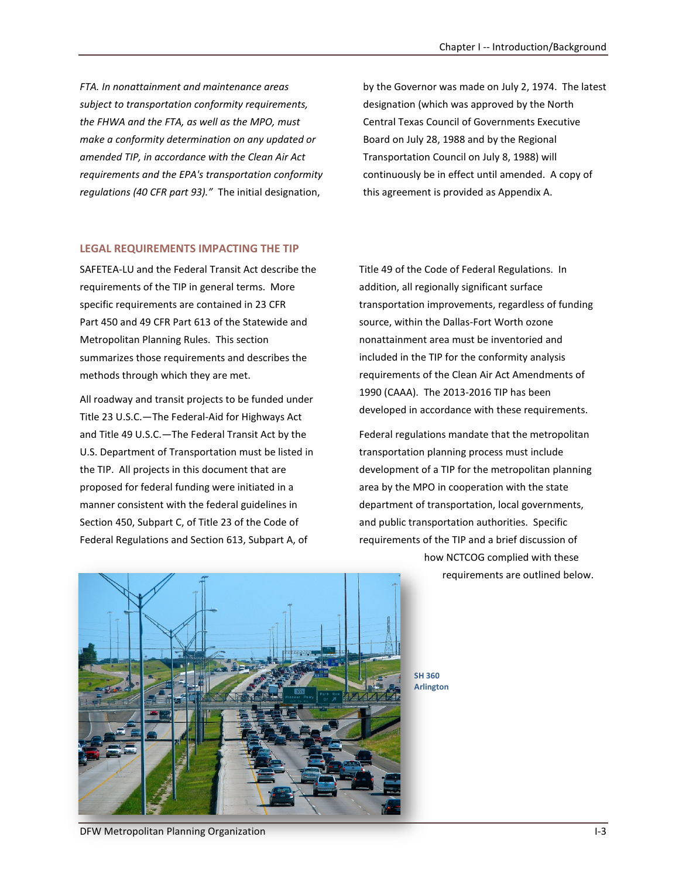*FTA. In nonattainment and maintenance areas subject to transportation conformity requirements, the FHWA and the FTA, as well as the MPO, must make a conformity determination on any updated or amended TIP, in accordance with the Clean Air Act requirements and the EPA's transportation conformity regulations (40 CFR part 93)."* The initial designation,

by the Governor was made on July 2, 1974. The latest designation (which was approved by the North Central Texas Council of Governments Executive Board on July 28, 1988 and by the Regional Transportation Council on July 8, 1988) will continuously be in effect until amended. A copy of this agreement is provided as Appendix A.

#### **LEGAL REQUIREMENTS IMPACTING THE TIP**

SAFETEA-LU and the Federal Transit Act describe the requirements of the TIP in general terms. More specific requirements are contained in 23 CFR Part 450 and 49 CFR Part 613 of the Statewide and Metropolitan Planning Rules. This section summarizes those requirements and describes the methods through which they are met.

All roadway and transit projects to be funded under Title 23 U.S.C.—The Federal-Aid for Highways Act and Title 49 U.S.C.—The Federal Transit Act by the U.S. Department of Transportation must be listed in the TIP. All projects in this document that are proposed for federal funding were initiated in a manner consistent with the federal guidelines in Section 450, Subpart C, of Title 23 of the Code of Federal Regulations and Section 613, Subpart A, of

Title 49 of the Code of Federal Regulations. In addition, all regionally significant surface transportation improvements, regardless of funding source, within the Dallas-Fort Worth ozone nonattainment area must be inventoried and included in the TIP for the conformity analysis requirements of the Clean Air Act Amendments of 1990 (CAAA). The 2013-2016 TIP has been developed in accordance with these requirements.

Federal regulations mandate that the metropolitan transportation planning process must include development of a TIP for the metropolitan planning area by the MPO in cooperation with the state department of transportation, local governments, and public transportation authorities. Specific requirements of the TIP and a brief discussion of how NCTCOG complied with these

requirements are outlined below.



**SH 360 Arlington** 

DFW Metropolitan Planning Organization **I-3** and I-3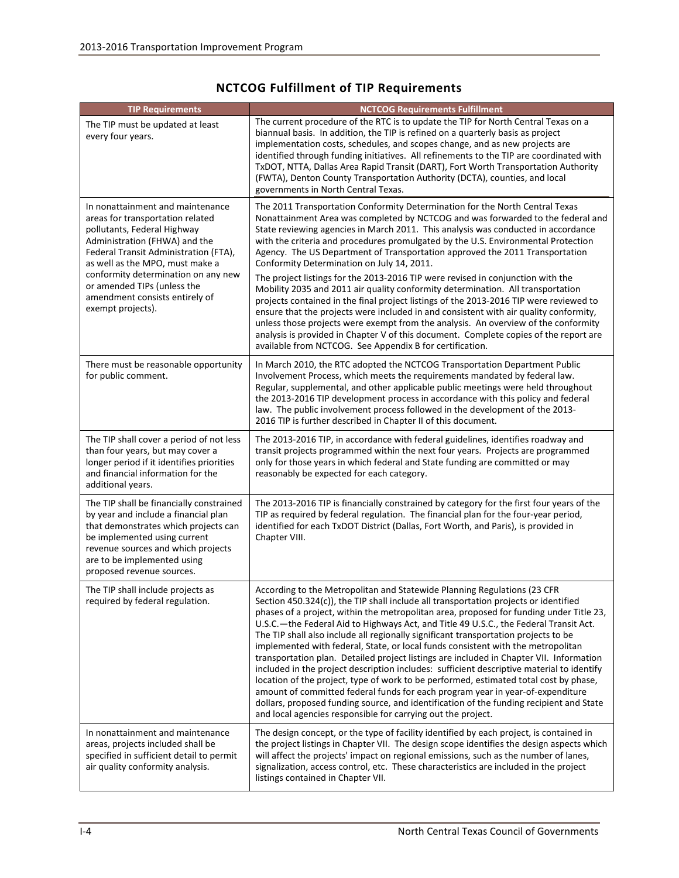| <b>TIP Requirements</b>                                                                                                                                                                                                                                                                                                                       | <b>NCTCOG Requirements Fulfillment</b>                                                                                                                                                                                                                                                                                                                                                                                                                                                                                                                                                                                                                                                                                                                                                                                                                                                                                                                                                                                                                                      |
|-----------------------------------------------------------------------------------------------------------------------------------------------------------------------------------------------------------------------------------------------------------------------------------------------------------------------------------------------|-----------------------------------------------------------------------------------------------------------------------------------------------------------------------------------------------------------------------------------------------------------------------------------------------------------------------------------------------------------------------------------------------------------------------------------------------------------------------------------------------------------------------------------------------------------------------------------------------------------------------------------------------------------------------------------------------------------------------------------------------------------------------------------------------------------------------------------------------------------------------------------------------------------------------------------------------------------------------------------------------------------------------------------------------------------------------------|
| The TIP must be updated at least<br>every four years.                                                                                                                                                                                                                                                                                         | The current procedure of the RTC is to update the TIP for North Central Texas on a<br>biannual basis. In addition, the TIP is refined on a quarterly basis as project<br>implementation costs, schedules, and scopes change, and as new projects are<br>identified through funding initiatives. All refinements to the TIP are coordinated with<br>TxDOT, NTTA, Dallas Area Rapid Transit (DART), Fort Worth Transportation Authority<br>(FWTA), Denton County Transportation Authority (DCTA), counties, and local<br>governments in North Central Texas.                                                                                                                                                                                                                                                                                                                                                                                                                                                                                                                  |
| In nonattainment and maintenance<br>areas for transportation related<br>pollutants, Federal Highway<br>Administration (FHWA) and the<br>Federal Transit Administration (FTA),<br>as well as the MPO, must make a<br>conformity determination on any new<br>or amended TIPs (unless the<br>amendment consists entirely of<br>exempt projects). | The 2011 Transportation Conformity Determination for the North Central Texas<br>Nonattainment Area was completed by NCTCOG and was forwarded to the federal and<br>State reviewing agencies in March 2011. This analysis was conducted in accordance<br>with the criteria and procedures promulgated by the U.S. Environmental Protection<br>Agency. The US Department of Transportation approved the 2011 Transportation<br>Conformity Determination on July 14, 2011.<br>The project listings for the 2013-2016 TIP were revised in conjunction with the<br>Mobility 2035 and 2011 air quality conformity determination. All transportation<br>projects contained in the final project listings of the 2013-2016 TIP were reviewed to<br>ensure that the projects were included in and consistent with air quality conformity,<br>unless those projects were exempt from the analysis. An overview of the conformity<br>analysis is provided in Chapter V of this document. Complete copies of the report are<br>available from NCTCOG. See Appendix B for certification. |
| There must be reasonable opportunity<br>for public comment.                                                                                                                                                                                                                                                                                   | In March 2010, the RTC adopted the NCTCOG Transportation Department Public<br>Involvement Process, which meets the requirements mandated by federal law.<br>Regular, supplemental, and other applicable public meetings were held throughout<br>the 2013-2016 TIP development process in accordance with this policy and federal<br>law. The public involvement process followed in the development of the 2013-<br>2016 TIP is further described in Chapter II of this document.                                                                                                                                                                                                                                                                                                                                                                                                                                                                                                                                                                                           |
| The TIP shall cover a period of not less<br>than four years, but may cover a<br>longer period if it identifies priorities<br>and financial information for the<br>additional years.                                                                                                                                                           | The 2013-2016 TIP, in accordance with federal guidelines, identifies roadway and<br>transit projects programmed within the next four years. Projects are programmed<br>only for those years in which federal and State funding are committed or may<br>reasonably be expected for each category.                                                                                                                                                                                                                                                                                                                                                                                                                                                                                                                                                                                                                                                                                                                                                                            |
| The TIP shall be financially constrained<br>by year and include a financial plan<br>that demonstrates which projects can<br>be implemented using current<br>revenue sources and which projects<br>are to be implemented using<br>proposed revenue sources.                                                                                    | The 2013-2016 TIP is financially constrained by category for the first four years of the<br>TIP as required by federal regulation. The financial plan for the four-year period,<br>identified for each TxDOT District (Dallas, Fort Worth, and Paris), is provided in<br>Chapter VIII.                                                                                                                                                                                                                                                                                                                                                                                                                                                                                                                                                                                                                                                                                                                                                                                      |
| The TIP shall include projects as<br>required by federal regulation.                                                                                                                                                                                                                                                                          | According to the Metropolitan and Statewide Planning Regulations (23 CFR<br>Section 450.324(c)), the TIP shall include all transportation projects or identified<br>phases of a project, within the metropolitan area, proposed for funding under Title 23,<br>U.S.C. - the Federal Aid to Highways Act, and Title 49 U.S.C., the Federal Transit Act.<br>The TIP shall also include all regionally significant transportation projects to be<br>implemented with federal, State, or local funds consistent with the metropolitan<br>transportation plan. Detailed project listings are included in Chapter VII. Information<br>included in the project description includes: sufficient descriptive material to identify<br>location of the project, type of work to be performed, estimated total cost by phase,<br>amount of committed federal funds for each program year in year-of-expenditure<br>dollars, proposed funding source, and identification of the funding recipient and State<br>and local agencies responsible for carrying out the project.             |
| In nonattainment and maintenance<br>areas, projects included shall be<br>specified in sufficient detail to permit<br>air quality conformity analysis.                                                                                                                                                                                         | The design concept, or the type of facility identified by each project, is contained in<br>the project listings in Chapter VII. The design scope identifies the design aspects which<br>will affect the projects' impact on regional emissions, such as the number of lanes,<br>signalization, access control, etc. These characteristics are included in the project<br>listings contained in Chapter VII.                                                                                                                                                                                                                                                                                                                                                                                                                                                                                                                                                                                                                                                                 |

## **NCTCOG Fulfillment of TIP Requirements**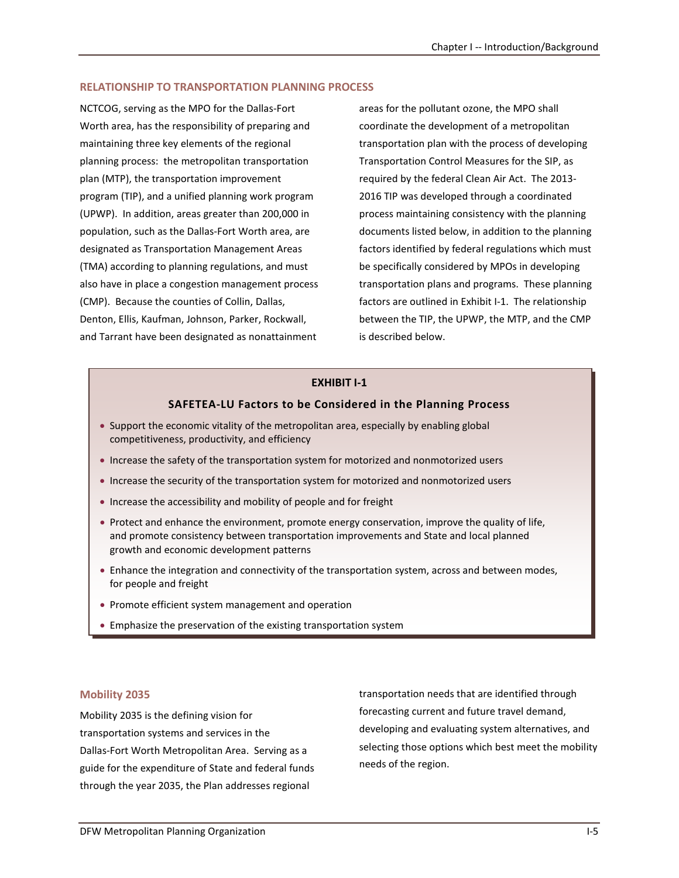#### **RELATIONSHIP TO TRANSPORTATION PLANNING PROCESS**

NCTCOG, serving as the MPO for the Dallas-Fort Worth area, has the responsibility of preparing and maintaining three key elements of the regional planning process: the metropolitan transportation plan (MTP), the transportation improvement program (TIP), and a unified planning work program (UPWP). In addition, areas greater than 200,000 in population, such as the Dallas-Fort Worth area, are designated as Transportation Management Areas (TMA) according to planning regulations, and must also have in place a congestion management process (CMP). Because the counties of Collin, Dallas, Denton, Ellis, Kaufman, Johnson, Parker, Rockwall, and Tarrant have been designated as nonattainment

areas for the pollutant ozone, the MPO shall coordinate the development of a metropolitan transportation plan with the process of developing Transportation Control Measures for the SIP, as required by the federal Clean Air Act. The 2013- 2016 TIP was developed through a coordinated process maintaining consistency with the planning documents listed below, in addition to the planning factors identified by federal regulations which must be specifically considered by MPOs in developing transportation plans and programs. These planning factors are outlined in Exhibit I-1. The relationship between the TIP, the UPWP, the MTP, and the CMP is described below.

## **EXHIBIT I-1**

#### **SAFETEA-LU Factors to be Considered in the Planning Process**

- Support the economic vitality of the metropolitan area, especially by enabling global competitiveness, productivity, and efficiency
- Increase the safety of the transportation system for motorized and nonmotorized users
- Increase the security of the transportation system for motorized and nonmotorized users
- Increase the accessibility and mobility of people and for freight
- Protect and enhance the environment, promote energy conservation, improve the quality of life, and promote consistency between transportation improvements and State and local planned growth and economic development patterns
- Enhance the integration and connectivity of the transportation system, across and between modes, for people and freight
- Promote efficient system management and operation
- Emphasize the preservation of the existing transportation system

#### **Mobility 2035**

Mobility 2035 is the defining vision for transportation systems and services in the Dallas-Fort Worth Metropolitan Area. Serving as a guide for the expenditure of State and federal funds through the year 2035, the Plan addresses regional

transportation needs that are identified through forecasting current and future travel demand, developing and evaluating system alternatives, and selecting those options which best meet the mobility needs of the region.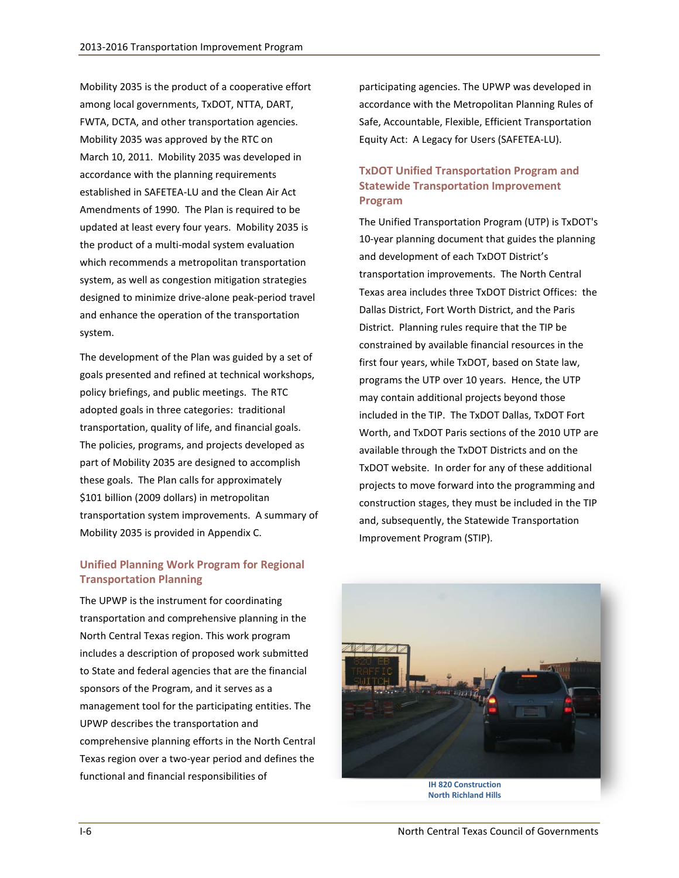Mobility 2035 is the product of a cooperative effort among local governments, TxDOT, NTTA, DART, FWTA, DCTA, and other transportation agencies. Mobility 2035 was approved by the RTC on March 10, 2011. Mobility 2035 was developed in accordance with the planning requirements established in SAFETEA-LU and the Clean Air Act Amendments of 1990. The Plan is required to be updated at least every four years. Mobility 2035 is the product of a multi-modal system evaluation which recommends a metropolitan transportation system, as well as congestion mitigation strategies designed to minimize drive-alone peak-period travel and enhance the operation of the transportation system.

The development of the Plan was guided by a set of goals presented and refined at technical workshops, policy briefings, and public meetings. The RTC adopted goals in three categories: traditional transportation, quality of life, and financial goals. The policies, programs, and projects developed as part of Mobility 2035 are designed to accomplish these goals. The Plan calls for approximately \$101 billion (2009 dollars) in metropolitan transportation system improvements. A summary of Mobility 2035 is provided in Appendix C.

## **Unified Planning Work Program for Regional Transportation Planning**

The UPWP is the instrument for coordinating transportation and comprehensive planning in the North Central Texas region. This work program includes a description of proposed work submitted to State and federal agencies that are the financial sponsors of the Program, and it serves as a management tool for the participating entities. The UPWP describes the transportation and comprehensive planning efforts in the North Central Texas region over a two-year period and defines the functional and financial responsibilities of

participating agencies. The UPWP was developed in accordance with the Metropolitan Planning Rules of Safe, Accountable, Flexible, Efficient Transportation Equity Act: A Legacy for Users (SAFETEA-LU).

## **TxDOT Unified Transportation Program and Statewide Transportation Improvement Program**

The Unified Transportation Program (UTP) is TxDOT's 10-year planning document that guides the planning and development of each TxDOT District's transportation improvements. The North Central Texas area includes three TxDOT District Offices: the Dallas District, Fort Worth District, and the Paris District. Planning rules require that the TIP be constrained by available financial resources in the first four years, while TxDOT, based on State law, programs the UTP over 10 years. Hence, the UTP may contain additional projects beyond those included in the TIP. The TxDOT Dallas, TxDOT Fort Worth, and TxDOT Paris sections of the 2010 UTP are available through the TxDOT Districts and on the TxDOT website. In order for any of these additional projects to move forward into the programming and construction stages, they must be included in the TIP and, subsequently, the Statewide Transportation Improvement Program (STIP).



**IH 820 Construction North Richland Hills**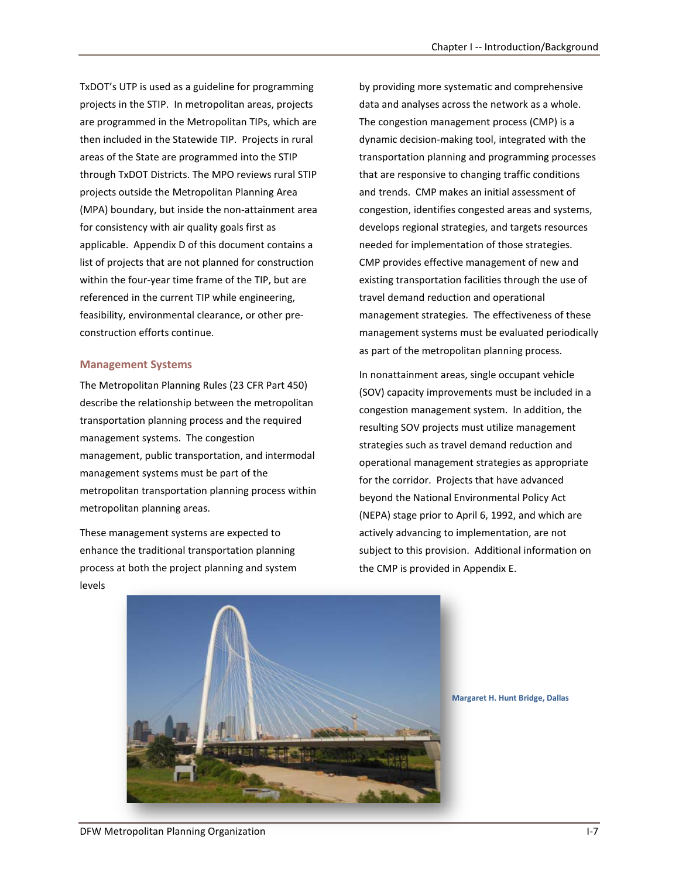TxDOT's UTP is used as a guideline for programming projects in the STIP. In metropolitan areas, projects are programmed in the Metropolitan TIPs, which are then included in the Statewide TIP. Projects in rural areas of the State are programmed into the STIP through TxDOT Districts. The MPO reviews rural STIP projects outside the Metropolitan Planning Area (MPA) boundary, but inside the non-attainment area for consistency with air quality goals first as applicable. Appendix D of this document contains a list of projects that are not planned for construction within the four-year time frame of the TIP, but are referenced in the current TIP while engineering, feasibility, environmental clearance, or other preconstruction efforts continue.

#### **Management Systems**

The Metropolitan Planning Rules (23 CFR Part 450) describe the relationship between the metropolitan transportation planning process and the required management systems. The congestion management, public transportation, and intermodal management systems must be part of the metropolitan transportation planning process within metropolitan planning areas.

These management systems are expected to enhance the traditional transportation planning process at both the project planning and system levels

by providing more systematic and comprehensive data and analyses across the network as a whole. The congestion management process (CMP) is a dynamic decision-making tool, integrated with the transportation planning and programming processes that are responsive to changing traffic conditions and trends. CMP makes an initial assessment of congestion, identifies congested areas and systems, develops regional strategies, and targets resources needed for implementation of those strategies. CMP provides effective management of new and existing transportation facilities through the use of travel demand reduction and operational management strategies. The effectiveness of these management systems must be evaluated periodically as part of the metropolitan planning process.

In nonattainment areas, single occupant vehicle (SOV) capacity improvements must be included in a congestion management system. In addition, the resulting SOV projects must utilize management strategies such as travel demand reduction and operational management strategies as appropriate for the corridor. Projects that have advanced beyond the National Environmental Policy Act (NEPA) stage prior to April 6, 1992, and which are actively advancing to implementation, are not subject to this provision. Additional information on the CMP is provided in Appendix E.



**Margaret H. Hunt Bridge, Dallas**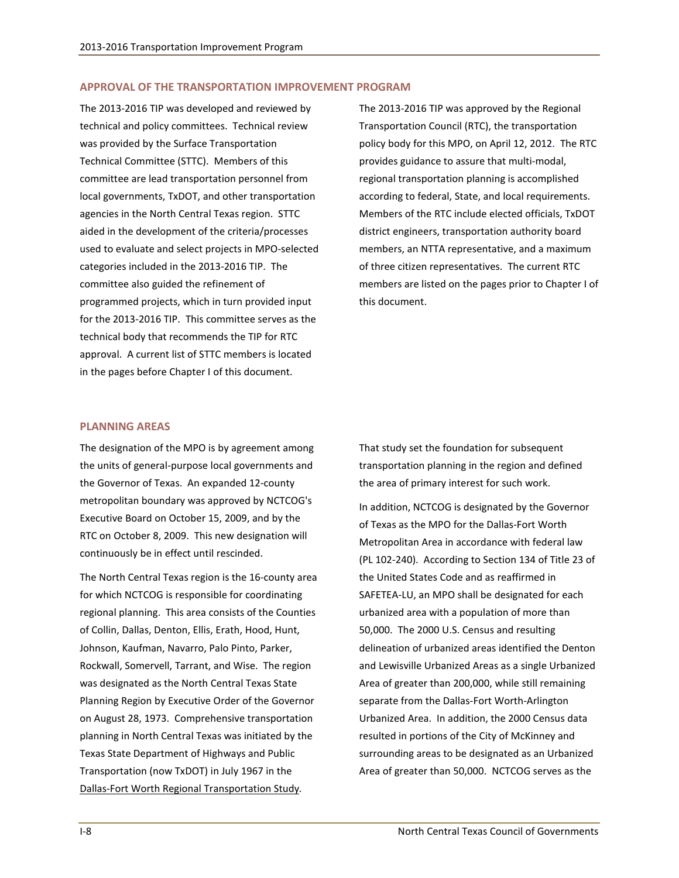#### **APPROVAL OF THE TRANSPORTATION IMPROVEMENT PROGRAM**

The 2013-2016 TIP was developed and reviewed by technical and policy committees. Technical review was provided by the Surface Transportation Technical Committee (STTC). Members of this committee are lead transportation personnel from local governments, TxDOT, and other transportation agencies in the North Central Texas region. STTC aided in the development of the criteria/processes used to evaluate and select projects in MPO-selected categories included in the 2013-2016 TIP. The committee also guided the refinement of programmed projects, which in turn provided input for the 2013-2016 TIP. This committee serves as the technical body that recommends the TIP for RTC approval. A current list of STTC members is located in the pages before Chapter I of this document.

The 2013-2016 TIP was approved by the Regional Transportation Council (RTC), the transportation policy body for this MPO, on April 12, 2012. The RTC provides guidance to assure that multi-modal, regional transportation planning is accomplished according to federal, State, and local requirements. Members of the RTC include elected officials, TxDOT district engineers, transportation authority board members, an NTTA representative, and a maximum of three citizen representatives. The current RTC members are listed on the pages prior to Chapter I of this document.

#### **PLANNING AREAS**

The designation of the MPO is by agreement among the units of general-purpose local governments and the Governor of Texas. An expanded 12-county metropolitan boundary was approved by NCTCOG's Executive Board on October 15, 2009, and by the RTC on October 8, 2009. This new designation will continuously be in effect until rescinded.

The North Central Texas region is the 16-county area for which NCTCOG is responsible for coordinating regional planning. This area consists of the Counties of Collin, Dallas, Denton, Ellis, Erath, Hood, Hunt, Johnson, Kaufman, Navarro, Palo Pinto, Parker, Rockwall, Somervell, Tarrant, and Wise. The region was designated as the North Central Texas State Planning Region by Executive Order of the Governor on August 28, 1973. Comprehensive transportation planning in North Central Texas was initiated by the Texas State Department of Highways and Public Transportation (now TxDOT) in July 1967 in the Dallas-Fort Worth Regional Transportation Study*.*

That study set the foundation for subsequent transportation planning in the region and defined the area of primary interest for such work.

In addition, NCTCOG is designated by the Governor of Texas as the MPO for the Dallas-Fort Worth Metropolitan Area in accordance with federal law (PL 102-240). According to Section 134 of Title 23 of the United States Code and as reaffirmed in SAFETEA-LU, an MPO shall be designated for each urbanized area with a population of more than 50,000. The 2000 U.S. Census and resulting delineation of urbanized areas identified the Denton and Lewisville Urbanized Areas as a single Urbanized Area of greater than 200,000, while still remaining separate from the Dallas-Fort Worth-Arlington Urbanized Area. In addition, the 2000 Census data resulted in portions of the City of McKinney and surrounding areas to be designated as an Urbanized Area of greater than 50,000. NCTCOG serves as the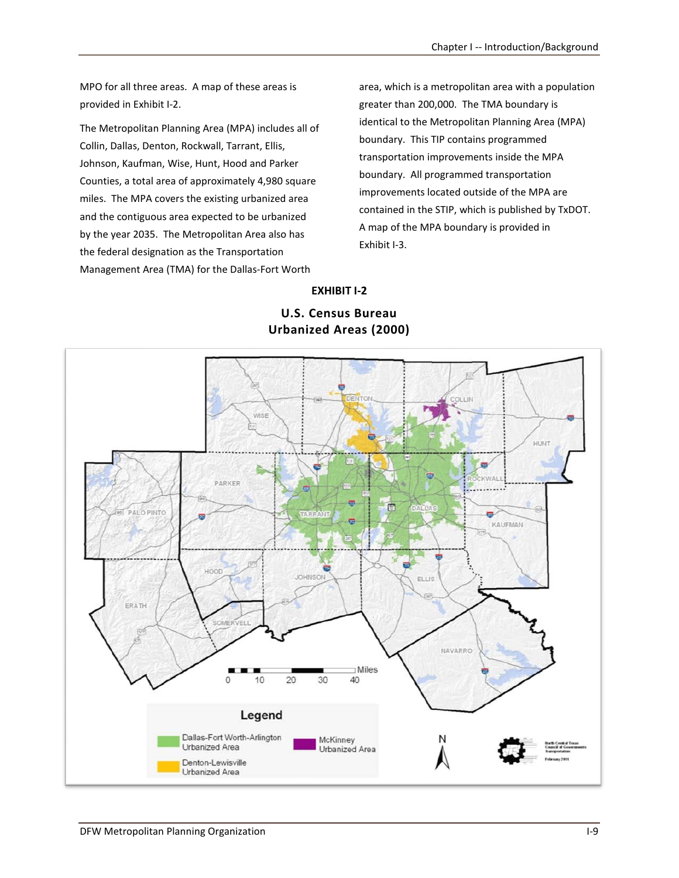MPO for all three areas. A map of these areas is provided in Exhibit I-2.

The Metropolitan Planning Area (MPA) includes all of Collin, Dallas, Denton, Rockwall, Tarrant, Ellis, Johnson, Kaufman, Wise, Hunt, Hood and Parker Counties, a total area of approximately 4,980 square miles. The MPA covers the existing urbanized area and the contiguous area expected to be urbanized by the year 2035. The Metropolitan Area also has the federal designation as the Transportation Management Area (TMA) for the Dallas-Fort Worth

area, which is a metropolitan area with a population greater than 200,000. The TMA boundary is identical to the Metropolitan Planning Area (MPA) boundary. This TIP contains programmed transportation improvements inside the MPA boundary. All programmed transportation improvements located outside of the MPA are contained in the STIP, which is published by TxDOT. A map of the MPA boundary is provided in Exhibit I-3.

**EXHIBIT I-2**

## **U.S. Census Bureau Urbanized Areas (2000)**

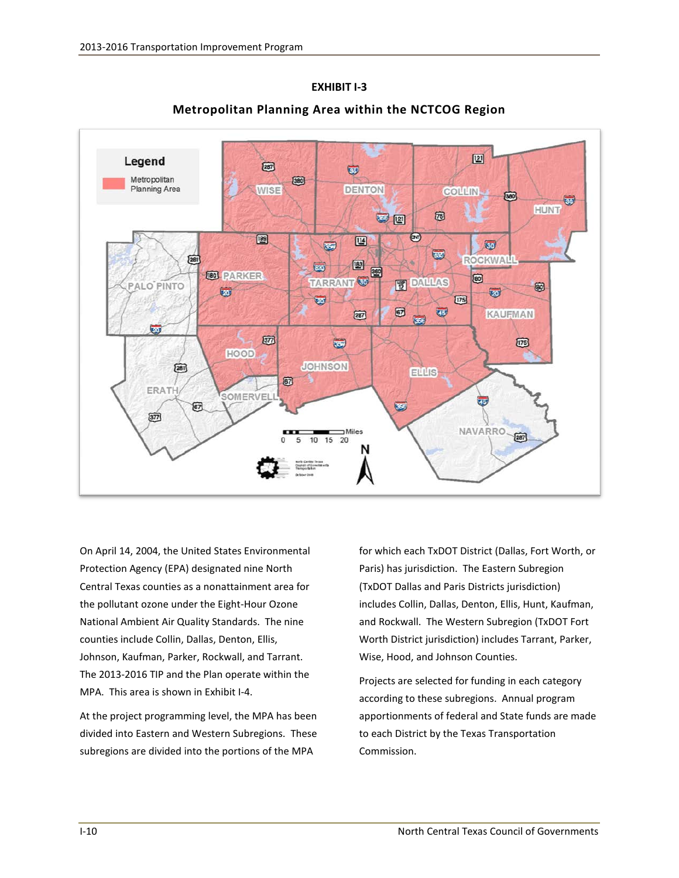

**Metropolitan Planning Area within the NCTCOG Region**

**EXHIBIT I-3**

On April 14, 2004, the United States Environmental Protection Agency (EPA) designated nine North Central Texas counties as a nonattainment area for the pollutant ozone under the Eight-Hour Ozone National Ambient Air Quality Standards. The nine counties include Collin, Dallas, Denton, Ellis, Johnson, Kaufman, Parker, Rockwall, and Tarrant. The 2013-2016 TIP and the Plan operate within the MPA. This area is shown in Exhibit I-4.

At the project programming level, the MPA has been divided into Eastern and Western Subregions. These subregions are divided into the portions of the MPA

for which each TxDOT District (Dallas, Fort Worth, or Paris) has jurisdiction. The Eastern Subregion (TxDOT Dallas and Paris Districts jurisdiction) includes Collin, Dallas, Denton, Ellis, Hunt, Kaufman, and Rockwall. The Western Subregion (TxDOT Fort Worth District jurisdiction) includes Tarrant, Parker, Wise, Hood, and Johnson Counties.

Projects are selected for funding in each category according to these subregions. Annual program apportionments of federal and State funds are made to each District by the Texas Transportation Commission.